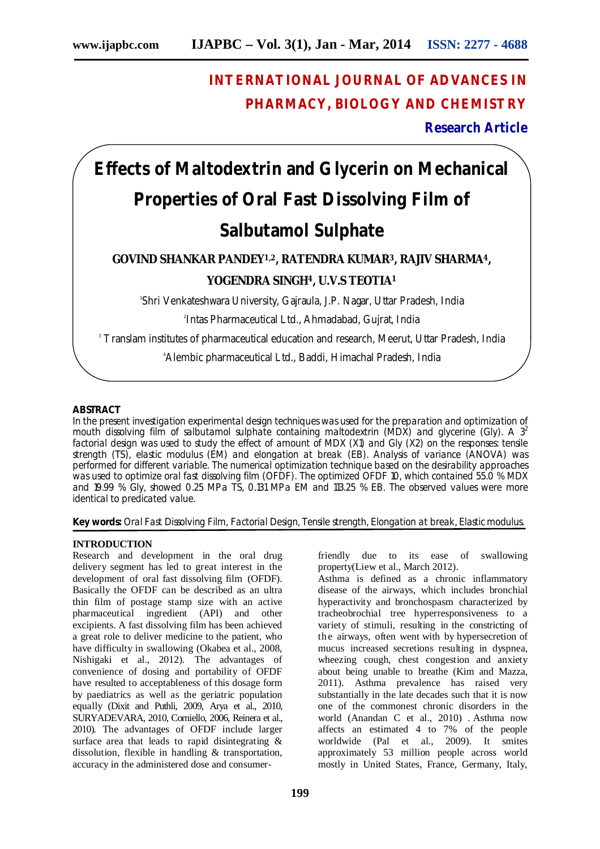## **INTERNATIONAL JOURNAL OF ADVANCES IN PHARMACY, BIOLOGY AND CHEMISTRY**

**Research Article**

# **Effects of Maltodextrin and Glycerin on Mechanical Properties of Oral Fast Dissolving Film of Salbutamol Sulphate**

### **GOVIND SHANKAR PANDEY1,2, RATENDRA KUMAR3, RAJIV SHARMA4, YOGENDRA SINGH4, U.V.S TEOTIA<sup>1</sup>**

1 Shri Venkateshwara University, Gajraula, J.P. Nagar, Uttar Pradesh, India

2 Intas Pharmaceutical Ltd., Ahmadabad, Gujrat, India

<sup>3</sup> Translam institutes of pharmaceutical education and research, Meerut, Uttar Pradesh, India

4Alembic pharmaceutical Ltd., Baddi, Himachal Pradesh, India

#### **ABSTRACT**

In the present investigation experimental design techniques was used for the preparation and optimization of mouth dissolving film of salbutamol sulphate containing maltodextrin (MDX) and glycerine (Gly). A  $3<sup>2</sup>$ factorial design was used to study the effect of amount of MDX (X1) and Gly (X2) on the responses: tensile strength (TS), elastic modulus (EM) and elongation at break (EB). Analysis of variance (ANOVA) was performed for different variable. The numerical optimization technique based on the desirability approaches was used to optimize oral fast dissolving film (OFDF). The optimized OFDF 10, which contained 55.0 % MDX and 19.99 % Gly, showed 0.25 MPa TS, 0.131 MPa EM and 113.25 % EB. The observed values were more identical to predicated value.

**Key words:** Oral Fast Dissolving Film, Factorial Design, Tensile strength, Elongation at break, Elastic modulus.

#### **INTRODUCTION**

Research and development in the oral drug delivery segment has led to great interest in the development of oral fast dissolving film (OFDF). Basically the OFDF can be described as an ultra thin film of postage stamp size with an active pharmaceutical ingredient (API) and other excipients. A fast dissolving film has been achieved a great role to deliver medicine to the patient, who have difficulty in swallowing (Okabea et al., 2008, Nishigaki et al., 2012). The advantages of convenience of dosing and portability of OFDF have resulted to acceptableness of this dosage form by paediatrics as well as the geriatric population equally (Dixit and Puthli, 2009, Arya et al., 2010, SURYADEVARA, 2010, Corniello, 2006, Reinera et al., 2010). The advantages of OFDF include larger surface area that leads to rapid disintegrating & dissolution, flexible in handling & transportation, accuracy in the administered dose and consumerfriendly due to its ease of swallowing property(Liew et al., March 2012).

Asthma is defined as a chronic inflammatory disease of the airways, which includes bronchial hyperactivity and bronchospasm characterized by tracheobrochial tree hyperresponsiveness to a variety of stimuli, resulting in the constricting of the airways, often went with by hypersecretion of mucus increased secretions resulting in dyspnea, wheezing cough, chest congestion and anxiety about being unable to breathe (Kim and Mazza, 2011). Asthma prevalence has raised very substantially in the late decades such that it is now one of the commonest chronic disorders in the world (Anandan C et al., 2010) . Asthma now affects an estimated 4 to 7% of the people worldwide (Pal et al., 2009). It smites approximately 53 million people across world mostly in United States, France, Germany, Italy,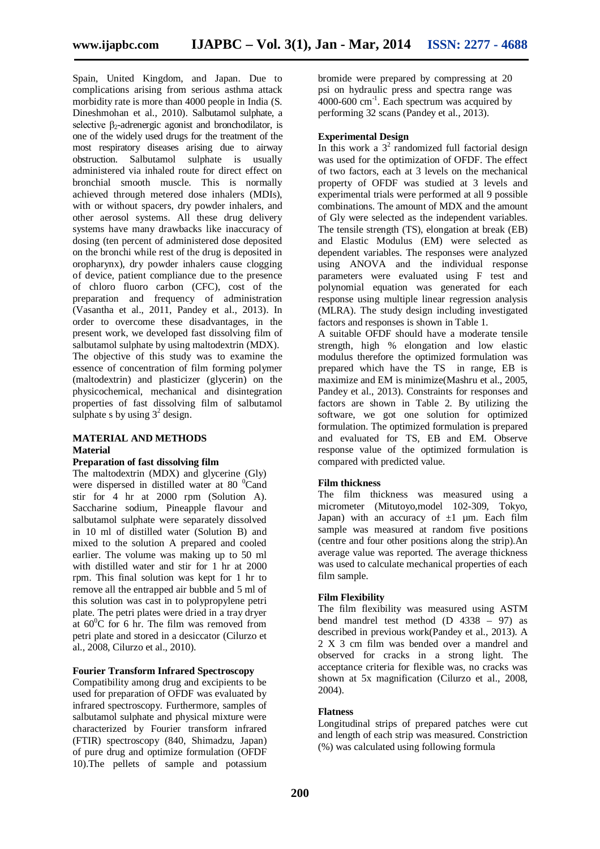Spain, United Kingdom, and Japan. Due to complications arising from serious asthma attack morbidity rate is more than 4000 people in India (S. Dineshmohan et al., 2010). Salbutamol sulphate, a selective β<sub>2</sub>-adrenergic agonist and bronchodilator, is one of the widely used drugs for the treatment of the most respiratory diseases arising due to airway<br>obstruction. Salbutamol sulphate is usually obstruction. Salbutamol administered via inhaled route for direct effect on bronchial smooth muscle. This is normally achieved through metered dose inhalers (MDIs), with or without spacers, dry powder inhalers, and other aerosol systems. All these drug delivery systems have many drawbacks like inaccuracy of dosing (ten percent of administered dose deposited on the bronchi while rest of the drug is deposited in oropharynx), dry powder inhalers cause clogging of device, patient compliance due to the presence of chloro fluoro carbon (CFC), cost of the preparation and frequency of administration (Vasantha et al., 2011, Pandey et al., 2013). In order to overcome these disadvantages, in the present work, we developed fast dissolving film of salbutamol sulphate by using maltodextrin (MDX). The objective of this study was to examine the essence of concentration of film forming polymer (maltodextrin) and plasticizer (glycerin) on the physicochemical, mechanical and disintegration properties of fast dissolving film of salbutamol sulphate s by using  $3^2$  design.

#### **MATERIAL AND METHODS Material**

#### **Preparation of fast dissolving film**

The maltodextrin (MDX) and glycerine (Gly) were dispersed in distilled water at  $80<sup>o</sup>$ Cand stir for 4 hr at 2000 rpm (Solution A). Saccharine sodium, Pineapple flavour and salbutamol sulphate were separately dissolved in 10 ml of distilled water (Solution B) and mixed to the solution A prepared and cooled earlier. The volume was making up to 50 ml with distilled water and stir for 1 hr at 2000 rpm. This final solution was kept for 1 hr to remove all the entrapped air bubble and 5 ml of this solution was cast in to polypropylene petri plate. The petri plates were dried in a tray dryer at  $60^{\circ}$ C for 6 hr. The film was removed from petri plate and stored in a desiccator (Cilurzo et al., 2008, Cilurzo et al., 2010).

#### **Fourier Transform Infrared Spectroscopy**

Compatibility among drug and excipients to be used for preparation of OFDF was evaluated by infrared spectroscopy. Furthermore, samples of salbutamol sulphate and physical mixture were characterized by Fourier transform infrared (FTIR) spectroscopy (840, Shimadzu, Japan) of pure drug and optimize formulation (OFDF 10).The pellets of sample and potassium

bromide were prepared by compressing at 20 psi on hydraulic press and spectra range was  $4000-600$  cm<sup>-1</sup>. Each spectrum was acquired by performing 32 scans (Pandey et al., 2013).

#### **Experimental Design**

In this work a  $3^2$  randomized full factorial design was used for the optimization of OFDF. The effect of two factors, each at 3 levels on the mechanical property of OFDF was studied at 3 levels and experimental trials were performed at all 9 possible combinations. The amount of MDX and the amount of Gly were selected as the independent variables. The tensile strength (TS), elongation at break (EB) and Elastic Modulus (EM) were selected as dependent variables. The responses were analyzed using ANOVA and the individual response parameters were evaluated using F test and polynomial equation was generated for each response using multiple linear regression analysis (MLRA). The study design including investigated factors and responses is shown in Table 1.

A suitable OFDF should have a moderate tensile strength, high % elongation and low elastic modulus therefore the optimized formulation was prepared which have the TS in range, EB is maximize and EM is minimize(Mashru et al., 2005, Pandey et al., 2013). Constraints for responses and factors are shown in Table 2. By utilizing the software, we got one solution for optimized formulation. The optimized formulation is prepared and evaluated for TS, EB and EM. Observe response value of the optimized formulation is compared with predicted value.

#### **Film thickness**

The film thickness was measured using a micrometer (Mitutoyo,model 102-309, Tokyo, Japan) with an accuracy of  $\pm 1$  um. Each film sample was measured at random five positions (centre and four other positions along the strip).An average value was reported. The average thickness was used to calculate mechanical properties of each film sample.

#### **Film Flexibility**

The film flexibility was measured using ASTM bend mandrel test method (D 4338 – 97) as described in previous work(Pandey et al., 2013). A 2 X 3 cm film was bended over a mandrel and observed for cracks in a strong light. The acceptance criteria for flexible was, no cracks was shown at 5x magnification (Cilurzo et al., 2008, 2004).

#### **Flatness**

Longitudinal strips of prepared patches were cut and length of each strip was measured. Constriction (%) was calculated using following formula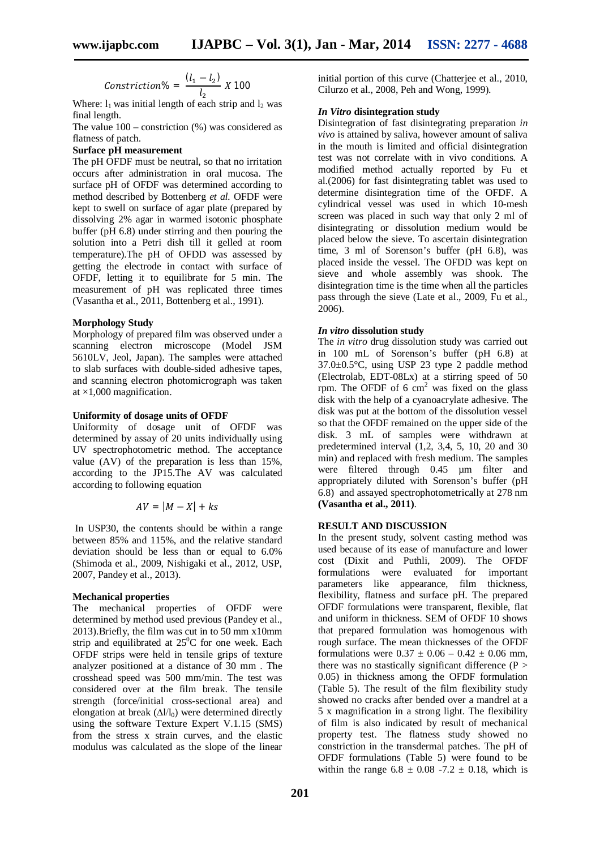$$
Construction \% = \frac{(l_1 - l_2)}{l_2} \times 100
$$

Where:  $l_1$  was initial length of each strip and  $l_2$  was final length.

The value  $100$  – constriction  $(\%)$  was considered as flatness of patch.

#### **Surface pH measurement**

The pH OFDF must be neutral, so that no irritation occurs after administration in oral mucosa. The surface pH of OFDF was determined according to method described by Bottenberg *et al.* OFDF were kept to swell on surface of agar plate (prepared by dissolving 2% agar in warmed isotonic phosphate buffer (pH 6.8) under stirring and then pouring the solution into a Petri dish till it gelled at room temperature).The pH of OFDD was assessed by getting the electrode in contact with surface of OFDF, letting it to equilibrate for 5 min. The measurement of pH was replicated three times (Vasantha et al., 2011, Bottenberg et al., 1991).

#### **Morphology Study**

Morphology of prepared film was observed under a scanning electron microscope (Model JSM 5610LV, Jeol, Japan). The samples were attached to slab surfaces with double-sided adhesive tapes, and scanning electron photomicrograph was taken at ×1,000 magnification.

#### **Uniformity of dosage units of OFDF**

Uniformity of dosage unit of OFDF was determined by assay of 20 units individually using UV spectrophotometric method. The acceptance value (AV) of the preparation is less than 15%, according to the JP15.The AV was calculated according to following equation

$$
AV = |M - X| + ks
$$

In USP30, the contents should be within a range between 85% and 115%, and the relative standard deviation should be less than or equal to 6.0% (Shimoda et al., 2009, Nishigaki et al., 2012, USP, 2007, Pandey et al., 2013).

#### **Mechanical properties**

The mechanical properties of OFDF were determined by method used previous (Pandey et al., 2013).Briefly, the film was cut in to 50 mm x10mm strip and equilibrated at  $25^{\circ}$ C for one week. Each OFDF strips were held in tensile grips of texture analyzer positioned at a distance of 30 mm . The crosshead speed was 500 mm/min. The test was considered over at the film break. The tensile strength (force/initial cross-sectional area) and elongation at break  $(\Delta l/l_0)$  were determined directly using the software Texture Expert V.1.15 (SMS) from the stress x strain curves, and the elastic modulus was calculated as the slope of the linear

initial portion of this curve (Chatterjee et al., 2010, Cilurzo et al., 2008, Peh and Wong, 1999).

#### *In Vitro* **disintegration study**

Disintegration of fast disintegrating preparation *in vivo* is attained by saliva, however amount of saliva in the mouth is limited and official disintegration test was not correlate with in vivo conditions. A modified method actually reported by Fu et al.(2006) for fast disintegrating tablet was used to determine disintegration time of the OFDF. A cylindrical vessel was used in which 10-mesh screen was placed in such way that only 2 ml of disintegrating or dissolution medium would be placed below the sieve. To ascertain disintegration time, 3 ml of Sorenson's buffer (pH 6.8), was placed inside the vessel. The OFDD was kept on sieve and whole assembly was shook. The disintegration time is the time when all the particles pass through the sieve (Late et al., 2009, Fu et al., 2006).

#### *In vitro* **dissolution study**

The *in vitro* drug dissolution study was carried out in 100 mL of Sorenson's buffer (pH 6.8) at 37.0±0.5°C, using USP 23 type 2 paddle method (Electrolab, EDT-08Lx) at a stirring speed of 50 rpm. The OFDF of 6  $\text{cm}^2$  was fixed on the glass disk with the help of a cyanoacrylate adhesive. The disk was put at the bottom of the dissolution vessel so that the OFDF remained on the upper side of the disk. 3 mL of samples were withdrawn at predetermined interval (1,2, 3,4, 5, 10, 20 and 30 min) and replaced with fresh medium. The samples were filtered through 0.45 µm filter and appropriately diluted with Sorenson's buffer (pH 6.8) and assayed spectrophotometrically at 278 nm **(Vasantha et al., 2011)**.

#### **RESULT AND DISCUSSION**

In the present study, solvent casting method was used because of its ease of manufacture and lower cost (Dixit and Puthli, 2009). The OFDF formulations were evaluated for important parameters like appearance, film thickness, flexibility, flatness and surface pH. The prepared OFDF formulations were transparent, flexible, flat and uniform in thickness. SEM of OFDF 10 shows that prepared formulation was homogenous with rough surface. The mean thicknesses of the OFDF formulations were  $0.37 \pm 0.06 - 0.42 \pm 0.06$  mm, there was no stastically significant difference  $(P >$ 0.05) in thickness among the OFDF formulation (Table 5). The result of the film flexibility study showed no cracks after bended over a mandrel at a 5 x magnification in a strong light. The flexibility of film is also indicated by result of mechanical property test. The flatness study showed no constriction in the transdermal patches. The pH of OFDF formulations (Table 5) were found to be within the range  $6.8 \pm 0.08 -7.2 \pm 0.18$ , which is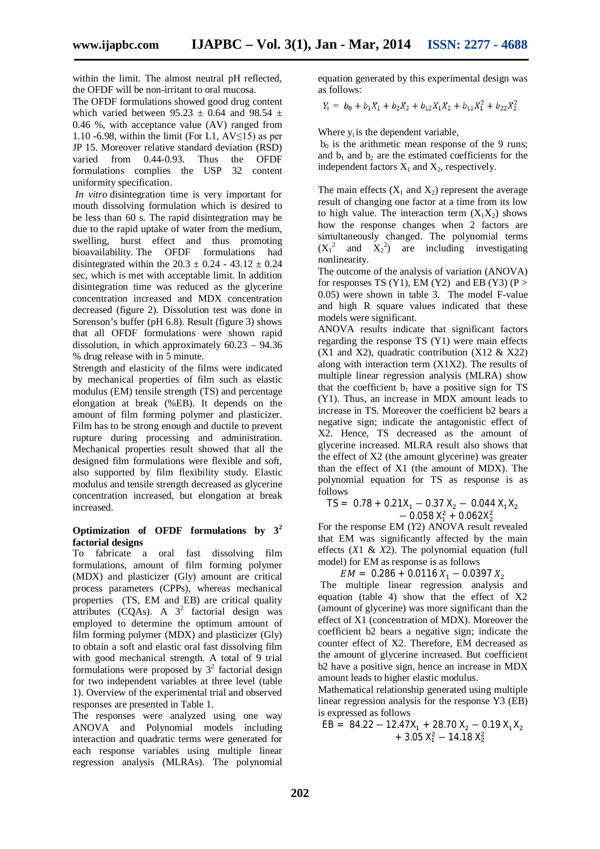within the limit. The almost neutral pH reflected, the OFDF will be non-irritant to oral mucosa.

The OFDF formulations showed good drug content which varied between  $95.23 \pm 0.64$  and  $98.54 \pm 1.6$ 0.46 %, with acceptance value (AV) ranged from 1.10 -6.98, within the limit (For L1,  $AV \le 15$ ) as per JP 15. Moreover relative standard deviation (RSD)<br>varied from 0.44-0.93. Thus the OFDF from  $0.44 - 0.93$ . formulations complies the USP 32 content uniformity specification.

*In vitro* disintegration time is very important for mouth dissolving formulation which is desired to be less than 60 s. The rapid disintegration may be due to the rapid uptake of water from the medium, swelling, burst effect and thus promoting bioavailability. The OFDF formulations had disintegrated within the  $20.3 \pm 0.24 - 43.12 \pm 0.24$ sec, which is met with acceptable limit. In addition disintegration time was reduced as the glycerine concentration increased and MDX concentration decreased (figure 2). Dissolution test was done in Sorenson's buffer (pH 6.8). Result (figure 3) shows that all OFDF formulations were shown rapid dissolution, in which approximately 60.23 – 94.36 % drug release with in 5 minute.

Strength and elasticity of the films were indicated by mechanical properties of film such as elastic modulus (EM) tensile strength (TS) and percentage elongation at break (%EB). It depends on the amount of film forming polymer and plasticizer. Film has to be strong enough and ductile to prevent rupture during processing and administration. Mechanical properties result showed that all the designed film formulations were flexible and soft, also supported by film flexibility study. Elastic modulus and tensile strength decreased as glycerine concentration increased, but elongation at break increased.

#### **Optimization of OFDF formulations by 3<sup>2</sup> factorial designs**

To fabricate a oral fast dissolving film formulations, amount of film forming polymer (MDX) and plasticizer (Gly) amount are critical process parameters (CPPs), whereas mechanical properties (TS, EM and EB) are critical quality attributes (CQAs). A  $3^2$  factorial design was employed to determine the optimum amount of film forming polymer (MDX) and plasticizer (Gly) to obtain a soft and elastic oral fast dissolving film with good mechanical strength. A total of 9 trial formulations were proposed by  $3^2$  factorial design for two independent variables at three level (table 1). Overview of the experimental trial and observed responses are presented in Table 1.

The responses were analyzed using one way ANOVA and Polynomial models including interaction and quadratic terms were generated for each response variables using multiple linear regression analysis (MLRAs). The polynomial equation generated by this experimental design was as follows:

$$
Y_i = b_0 + b_1 X_1 + b_2 X_2 + b_{12} X_1 X_2 + b_{11} X_1^2 + b_{22} X_2^2
$$

Where y<sub>i</sub> is the dependent variable.

 $b<sub>0</sub>$  is the arithmetic mean response of the 9 runs; and  $b_1$  and  $b_2$  are the estimated coefficients for the independent factors  $X_1$  and  $X_2$ , respectively.

The main effects  $(X_1 \text{ and } X_2)$  represent the average result of changing one factor at a time from its low to high value. The interaction term  $(X_1X_2)$  shows how the response changes when 2 factors are simultaneously changed. The polynomial terms  $(X_1^2$  and  $X_2^2)$  are including investigating nonlinearity.

The outcome of the analysis of variation (ANOVA) for responses TS (Y1), EM (Y2) and EB (Y3) (P  $>$ 0.05) were shown in table 3. The model F-value and high R square values indicated that these models were significant.

ANOVA results indicate that significant factors regarding the response TS (Y1) were main effects (X1 and X2), quadratic contribution (X12  $&$  X22) along with interaction term (X1X2). The results of multiple linear regression analysis (MLRA) show that the coefficient  $b_1$  have a positive sign for TS (Y1). Thus, an increase in MDX amount leads to increase in TS. Moreover the coefficient b2 bears a negative sign; indicate the antagonistic effect of X2. Hence, TS decreased as the amount of glycerine increased. MLRA result also shows that the effect of X2 (the amount glycerine) was greater than the effect of X1 (the amount of MDX). The polynomial equation for TS as response is as follows

$$
TS = 0.78 + 0.21X_1 - 0.37X_2 - 0.044X_1X_2 - 0.058X_1^2 + 0.062X_2^2
$$

For the response EM (*Y*2) ANOVA result revealed that EM was significantly affected by the main effects (*X*1 & *X*2). The polynomial equation (full model) for EM as response is as follows

 $EM = 0.286 + 0.0116 X_1 - 0.0397 X_2$ 

The multiple linear regression analysis and equation (table 4) show that the effect of X2 (amount of glycerine) was more significant than the effect of X1 (concentration of MDX). Moreover the coefficient b2 bears a negative sign; indicate the counter effect of X2. Therefore, EM decreased as the amount of glycerine increased. But coefficient b2 have a positive sign, hence an increase in MDX amount leads to higher elastic modulus.

Mathematical relationship generated using multiple linear regression analysis for the response Y3 (EB) is expressed as follows

$$
EB = 84.22 - 12.47X_1 + 28.70X_2 - 0.19X_1X_2
$$
  
+ 3.05 X<sub>1</sub><sup>2</sup> - 14.18 X<sub>2</sub><sup>2</sup>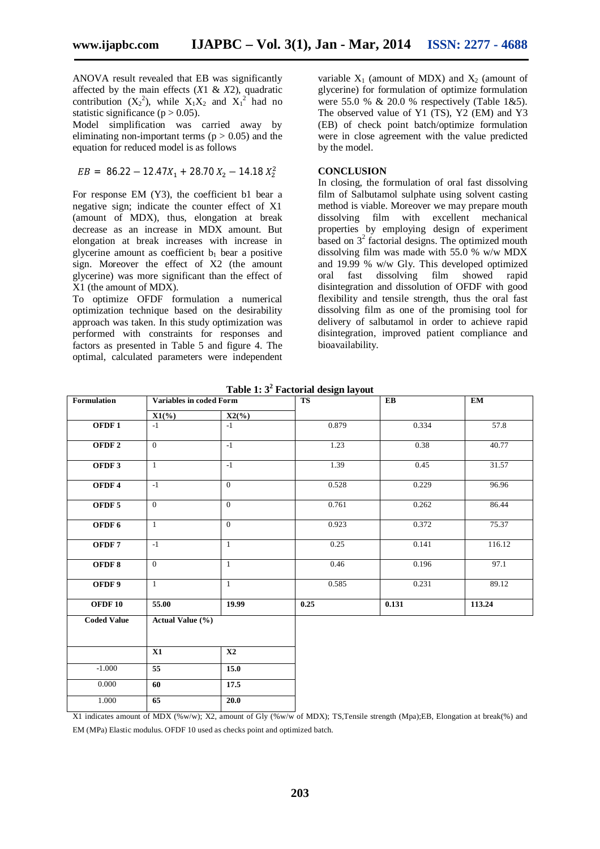ANOVA result revealed that EB was significantly affected by the main effects (*X*1 & *X*2), quadratic contribution  $(X_2^2)$ , while  $X_1X_2$  and  $X_1^2$  had no statistic significance ( $p > 0.05$ ).

Model simplification was carried away by eliminating non-important terms ( $p > 0.05$ ) and the equation for reduced model is as follows

$$
EB = 86.22 - 12.47X_1 + 28.70X_2 - 14.18X_2^2
$$

For response EM (Y3), the coefficient b1 bear a negative sign; indicate the counter effect of X1 (amount of MDX), thus, elongation at break decrease as an increase in MDX amount. But elongation at break increases with increase in glycerine amount as coefficient  $b_1$  bear a positive sign. Moreover the effect of X2 (the amount glycerine) was more significant than the effect of X1 (the amount of MDX).

To optimize OFDF formulation a numerical optimization technique based on the desirability approach was taken. In this study optimization was performed with constraints for responses and factors as presented in Table 5 and figure 4. The optimal, calculated parameters were independent

variable  $X_1$  (amount of MDX) and  $X_2$  (amount of glycerine) for formulation of optimize formulation were 55.0 %  $\&$  20.0 % respectively (Table 1 $\&$ 5). The observed value of Y1 (TS), Y2 (EM) and Y3 (EB) of check point batch/optimize formulation were in close agreement with the value predicted by the model.

#### **CONCLUSION**

In closing, the formulation of oral fast dissolving film of Salbutamol sulphate using solvent casting method is viable. Moreover we may prepare mouth dissolving film with excellent mechanical properties by employing design of experiment based on  $3<sup>2</sup>$  factorial designs. The optimized mouth dissolving film was made with 55.0 % w/w MDX and 19.99 % w/w Gly. This developed optimized oral fast dissolving film showed rapid disintegration and dissolution of OFDF with good flexibility and tensile strength, thus the oral fast dissolving film as one of the promising tool for delivery of salbutamol in order to achieve rapid disintegration, improved patient compliance and bioavailability.

| Formulation        | <b>Variables in coded Form</b>     |                | <b>TS</b> | $E$ B | $\mathbf{EM}$ |
|--------------------|------------------------------------|----------------|-----------|-------|---------------|
|                    | $X1\overset{\bullet}{\rightarrow}$ | $X2(\%)$       |           |       |               |
| OFDF1              | $-1$                               | $-1$           | 0.879     | 0.334 | 57.8          |
| OFDF <sub>2</sub>  | $\overline{0}$                     | $-1$           | 1.23      | 0.38  | 40.77         |
| OFDF3              | $\mathbf{1}$                       | $-1$           | 1.39      | 0.45  | 31.57         |
| OFDF4              | $-1$                               | $\overline{0}$ | 0.528     | 0.229 | 96.96         |
| OFDF <sub>5</sub>  | $\overline{0}$                     | $\overline{0}$ | 0.761     | 0.262 | 86.44         |
| OFDF <sub>6</sub>  | $\mathbf{1}$                       | $\overline{0}$ | 0.923     | 0.372 | 75.37         |
| OFDF7              | $-1$                               | $\mathbf{1}$   | 0.25      | 0.141 | 116.12        |
| OFDF8              | $\overline{0}$                     | $\mathbf{1}$   | 0.46      | 0.196 | 97.1          |
| OFDF 9             | $\mathbf{1}$                       | $\mathbf{1}$   | 0.585     | 0.231 | 89.12         |
| OFDF <sub>10</sub> | 55.00                              | 19.99          | 0.25      | 0.131 | 113.24        |
| <b>Coded Value</b> | Actual Value (%)                   |                |           |       |               |
|                    | X1                                 | $\mathbf{X2}$  |           |       |               |
| $-1.000$           | $\overline{55}$                    | 15.0           |           |       |               |
| 0.000              | 60                                 | 17.5           |           |       |               |
| 1.000              | 65                                 | 20.0           |           |       |               |

**Table 1: 3<sup>2</sup> Factorial design layout**

X1 indicates amount of MDX (%w/w); X2, amount of Gly (%w/w of MDX); TS,Tensile strength (Mpa);EB, Elongation at break(%) and EM (MPa) Elastic modulus. OFDF 10 used as checks point and optimized batch.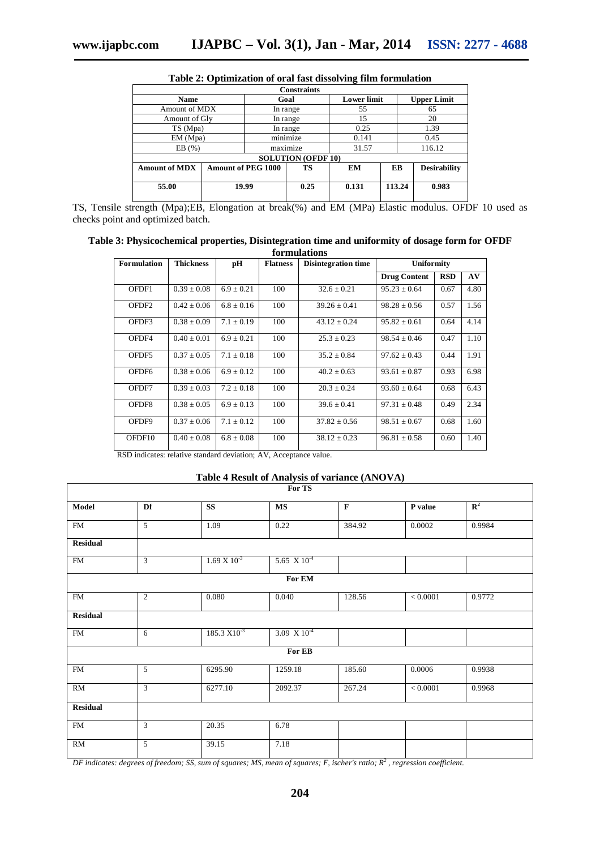| <b>Constraints</b>        |                           |          |      |                    |        |                     |  |  |
|---------------------------|---------------------------|----------|------|--------------------|--------|---------------------|--|--|
| <b>Name</b>               |                           | Goal     |      | <b>Lower limit</b> |        | <b>Upper Limit</b>  |  |  |
| Amount of MDX             |                           | In range |      | 55                 |        | 65                  |  |  |
| Amount of Gly             |                           | In range |      | 15                 |        | 20                  |  |  |
| TS (Mpa)                  |                           | In range |      | 0.25               |        | 1.39                |  |  |
| EM (Mpa)                  |                           | minimize |      | 0.141              |        | 0.45                |  |  |
| EB(%)                     |                           | maximize |      | 31.57              |        | 116.12              |  |  |
| <b>SOLUTION (OFDF 10)</b> |                           |          |      |                    |        |                     |  |  |
| <b>Amount of MDX</b>      | <b>Amount of PEG 1000</b> |          | TS   | EM                 | EB     | <b>Desirability</b> |  |  |
| 55.00                     | 19.99                     |          | 0.25 | 0.131              | 113.24 | 0.983               |  |  |

**Table 2: Optimization of oral fast dissolving film formulation**

TS, Tensile strength (Mpa);EB, Elongation at break(%) and EM (MPa) Elastic modulus. OFDF 10 used as checks point and optimized batch.

| Table 3: Physicochemical properties, Disintegration time and uniformity of dosage form for OFDF |  |
|-------------------------------------------------------------------------------------------------|--|
| formulations                                                                                    |  |

| <b>Formulation</b> | <b>Thickness</b> | pН             | <b>Flatness</b> | <b>Disintegration time</b> | <b>Uniformity</b>   |            |      |
|--------------------|------------------|----------------|-----------------|----------------------------|---------------------|------------|------|
|                    |                  |                |                 |                            | <b>Drug Content</b> | <b>RSD</b> | AV   |
| OFDF1              | $0.39 \pm 0.08$  | $6.9 \pm 0.21$ | 100             | $32.6 \pm 0.21$            | $95.23 \pm 0.64$    | 0.67       | 4.80 |
| OFDF <sub>2</sub>  | $0.42 \pm 0.06$  | $6.8 \pm 0.16$ | 100             | $39.26 \pm 0.41$           | $98.28 + 0.56$      | 0.57       | 1.56 |
| OFDF3              | $0.38 \pm 0.09$  | $7.1 \pm 0.19$ | 100             | $43.12 \pm 0.24$           | $95.82 \pm 0.61$    | 0.64       | 4.14 |
| OFDF4              | $0.40 \pm 0.01$  | $6.9 \pm 0.21$ | 100             | $25.3 \pm 0.23$            | $98.54 \pm 0.46$    | 0.47       | 1.10 |
| OFDF5              | $0.37 \pm 0.05$  | $7.1 + 0.18$   | 100             | $35.2 + 0.84$              | $97.62 \pm 0.43$    | 0.44       | 1.91 |
| OFDF <sub>6</sub>  | $0.38 + 0.06$    | $6.9 \pm 0.12$ | 100             | $40.2 \pm 0.63$            | $93.61 + 0.87$      | 0.93       | 6.98 |
| OFDF7              | $0.39 + 0.03$    | $7.2 \pm 0.18$ | 100             | $20.3 \pm 0.24$            | $93.60 + 0.64$      | 0.68       | 6.43 |
| OFDF8              | $0.38 + 0.05$    | $6.9 + 0.13$   | 100             | $39.6 \pm 0.41$            | $97.31 + 0.48$      | 0.49       | 2.34 |
| OFDF9              | $0.37 + 0.06$    | $7.1 + 0.12$   | 100             | $37.82 + 0.56$             | $98.51 + 0.67$      | 0.68       | 1.60 |
| OFDF10             | $0.40 \pm 0.08$  | $6.8 \pm 0.08$ | 100             | $38.12 \pm 0.23$           | $96.81 \pm 0.58$    | 0.60       | 1.40 |

RSD indicates: relative standard deviation; AV, Acceptance value.

#### **Table 4 Result of Analysis of variance (ANOVA)**

| For TS          |                |                       |                       |             |          |             |  |
|-----------------|----------------|-----------------------|-----------------------|-------------|----------|-------------|--|
| Model           | Df             | <b>SS</b>             | <b>MS</b>             | $\mathbf F$ | P value  | ${\bf R}^2$ |  |
| <b>FM</b>       | $\overline{5}$ | 1.09                  | 0.22                  | 384.92      | 0.0002   | 0.9984      |  |
| <b>Residual</b> |                |                       |                       |             |          |             |  |
| <b>FM</b>       | 3              | $1.69 \times 10^{-3}$ | 5.65 $X10^{-4}$       |             |          |             |  |
|                 |                |                       | For EM                |             |          |             |  |
| <b>FM</b>       | 2              | 0.080                 | 0.040                 | 128.56      | < 0.0001 | 0.9772      |  |
| <b>Residual</b> |                |                       |                       |             |          |             |  |
| <b>FM</b>       | 6              | $185.3 X10^{-3}$      | $3.09 \times 10^{-4}$ |             |          |             |  |
|                 |                |                       | For EB                |             |          |             |  |
| <b>FM</b>       | 5              | 6295.90               | 1259.18               | 185.60      | 0.0006   | 0.9938      |  |
| RM              | 3              | 6277.10               | 2092.37               | 267.24      | < 0.0001 | 0.9968      |  |
| <b>Residual</b> |                |                       |                       |             |          |             |  |
| <b>FM</b>       | 3              | 20.35                 | 6.78                  |             |          |             |  |
| RM              | 5              | 39.15                 | 7.18                  |             |          |             |  |

*DF indicates: degrees of freedom; SS, sum of squares; MS, mean of squares; F, ischer's ratio; R<sup>2</sup> , regression coefficient.*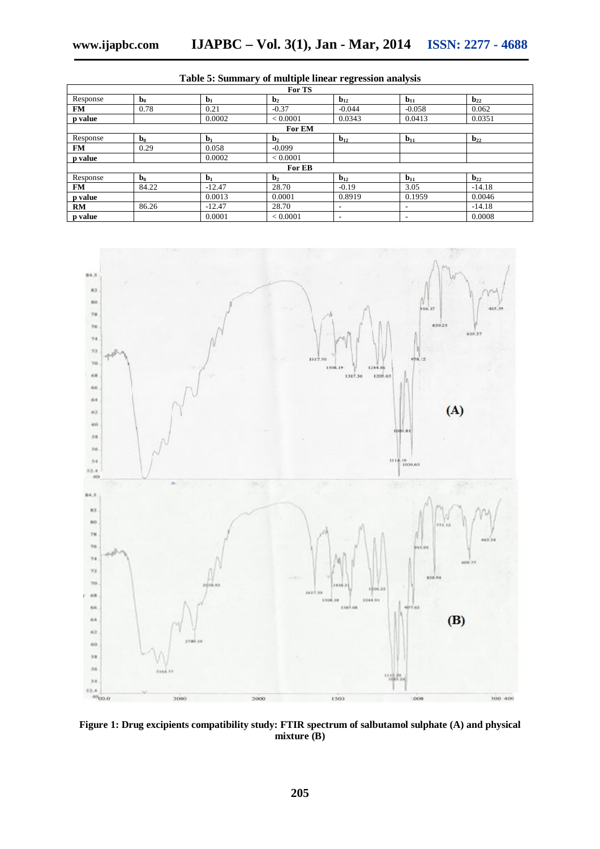| For TS    |                |          |                |                          |                          |                   |  |
|-----------|----------------|----------|----------------|--------------------------|--------------------------|-------------------|--|
| Response  | $\mathbf{b}_0$ | $b1$     | $\mathbf{b}_2$ | $b_{12}$                 | $b11$                    | $b_{22}$          |  |
| <b>FM</b> | 0.78           | 0.21     | $-0.37$        | $-0.044$                 | $-0.058$                 | 0.062             |  |
| p value   |                | 0.0002   | < 0.0001       | 0.0343                   | 0.0413                   | 0.0351            |  |
| For EM    |                |          |                |                          |                          |                   |  |
| Response  | $\mathbf{b}_0$ | $b1$     | $\mathbf{b}_2$ | $b_{12}$                 | $b11$                    | $b_{22}$          |  |
| <b>FM</b> | 0.29           | 0.058    | $-0.099$       |                          |                          |                   |  |
| p value   |                | 0.0002   | < 0.0001       |                          |                          |                   |  |
|           |                |          | For EB         |                          |                          |                   |  |
| Response  | $\mathbf{b}_0$ | $b1$     | $\mathbf{b}_2$ | $b_{12}$                 | $b_{11}$                 | $\mathbf{b}_{22}$ |  |
| <b>FM</b> | 84.22          | $-12.47$ | 28.70          | $-0.19$                  | 3.05                     | $-14.18$          |  |
| p value   |                | 0.0013   | 0.0001         | 0.8919                   | 0.1959                   | 0.0046            |  |
| <b>RM</b> | 86.26          | $-12.47$ | 28.70          | $\overline{\phantom{a}}$ | $\overline{\phantom{a}}$ | $-14.18$          |  |
| p value   |                | 0.0001   | < 0.0001       | $\overline{\phantom{a}}$ | $\overline{\phantom{a}}$ | 0.0008            |  |

**Table 5: Summary of multiple linear regression analysis**



**Figure 1: Drug excipients compatibility study: FTIR spectrum of salbutamol sulphate (A) and physical mixture (B)**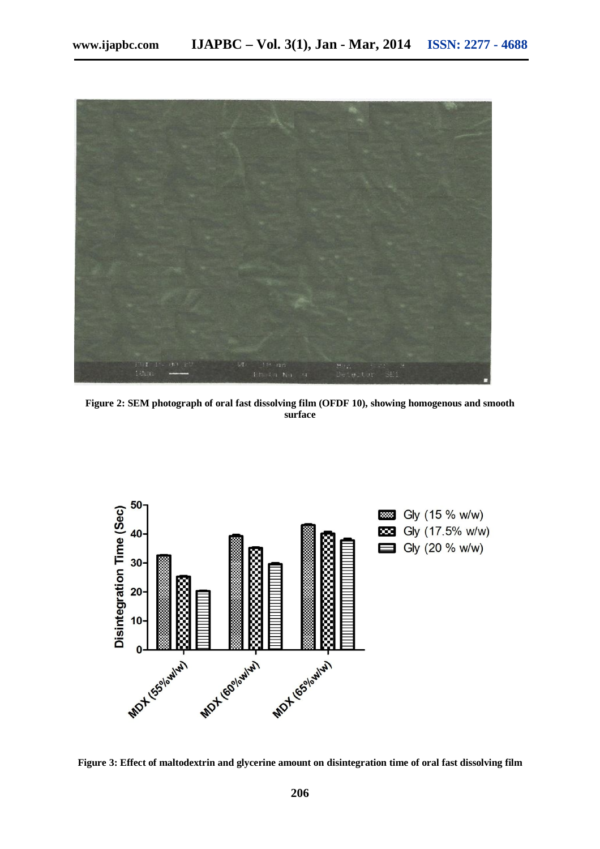

**Figure 2: SEM photograph of oral fast dissolving film (OFDF 10), showing homogenous and smooth surface**



**Figure 3: Effect of maltodextrin and glycerine amount on disintegration time of oral fast dissolving film**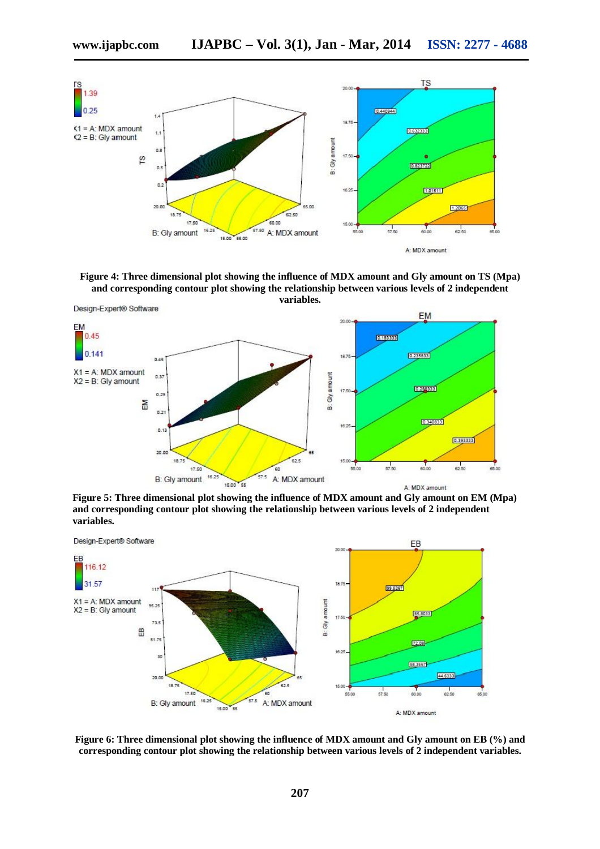

**Figure 4: Three dimensional plot showing the influence of MDX amount and Gly amount on TS (Mpa) and corresponding contour plot showing the relationship between various levels of 2 independent variables.**



**Figure 5: Three dimensional plot showing the influence of MDX amount and Gly amount on EM (Mpa) and corresponding contour plot showing the relationship between various levels of 2 independent variables.**



**Figure 6: Three dimensional plot showing the influence of MDX amount and Gly amount on EB (%) and corresponding contour plot showing the relationship between various levels of 2 independent variables.**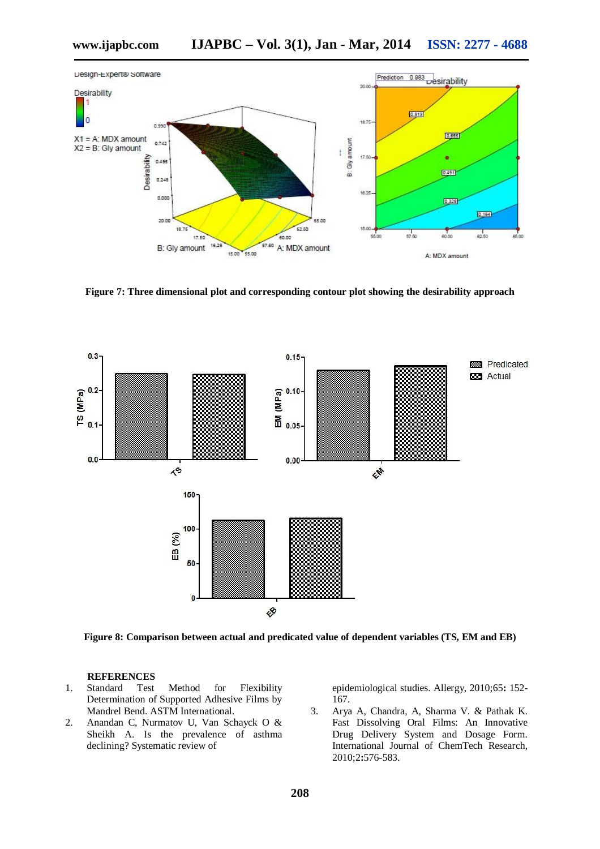

**Figure 7: Three dimensional plot and corresponding contour plot showing the desirability approach**



**Figure 8: Comparison between actual and predicated value of dependent variables (TS, EM and EB)**

#### **REFERENCES**

- 1. Standard Test Method for Flexibility Determination of Supported Adhesive Films by Mandrel Bend. ASTM International.
- 2. Anandan C, Nurmatov U, Van Schayck O & Sheikh A. Is the prevalence of asthma declining? Systematic review of

epidemiological studies. Allergy, 2010;65**:** 152- 167.

3. Arya A, Chandra, A, Sharma V. & Pathak K. Fast Dissolving Oral Films: An Innovative Drug Delivery System and Dosage Form. International Journal of ChemTech Research, 2010;2**:**576-583.